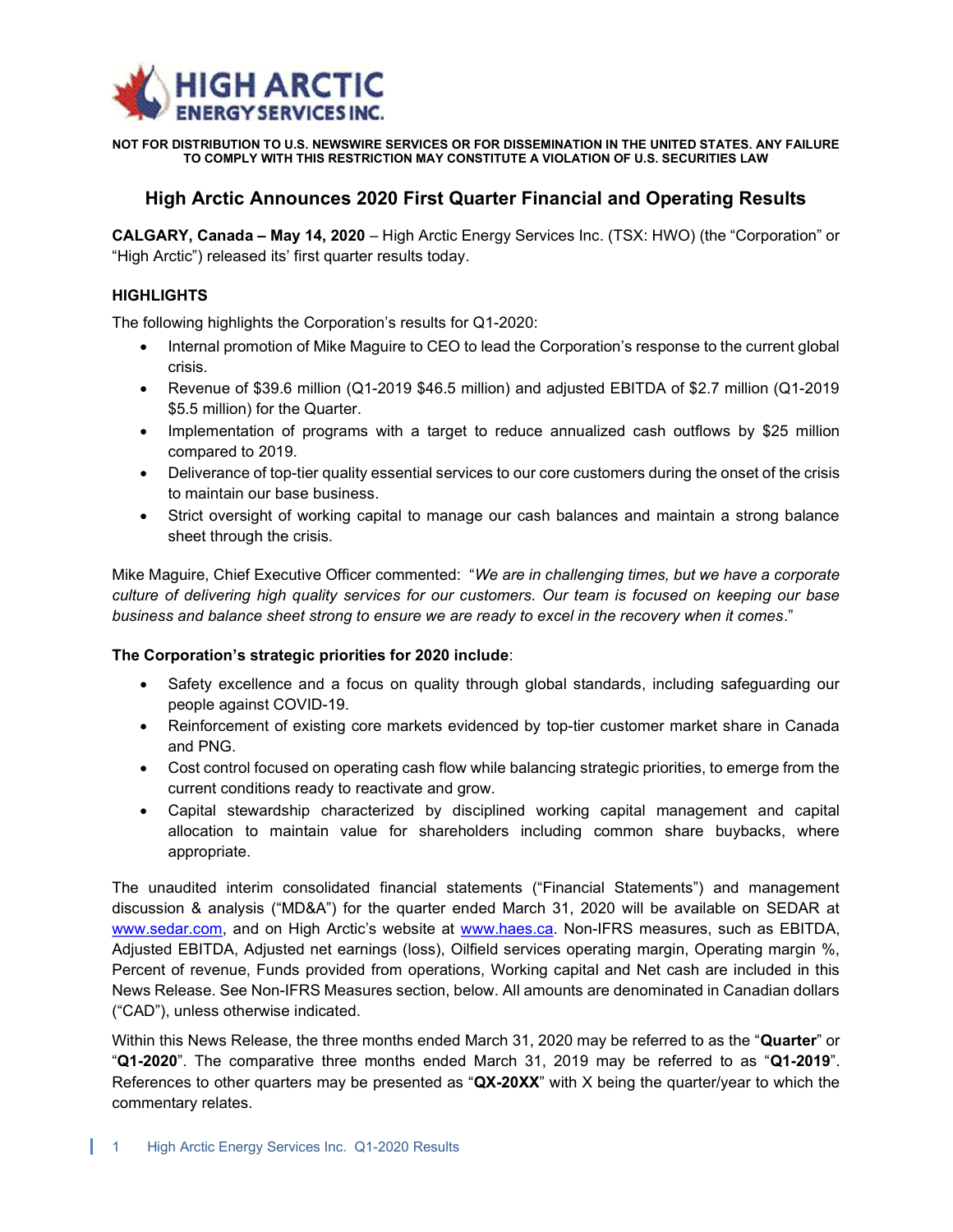

NOT FOR DISTRIBUTION TO U.S. NEWSWIRE SERVICES OR FOR DISSEMINATION IN THE UNITED STATES. ANY FAILURE TO COMPLY WITH THIS RESTRICTION MAY CONSTITUTE A VIOLATION OF U.S. SECURITIES LAW

# High Arctic Announces 2020 First Quarter Financial and Operating Results

CALGARY, Canada – May 14, 2020 – High Arctic Energy Services Inc. (TSX: HWO) (the "Corporation" or "High Arctic") released its' first quarter results today.

## **HIGHLIGHTS**

The following highlights the Corporation's results for Q1-2020:

- Internal promotion of Mike Maguire to CEO to lead the Corporation's response to the current global crisis.
- Revenue of \$39.6 million (Q1-2019 \$46.5 million) and adjusted EBITDA of \$2.7 million (Q1-2019 \$5.5 million) for the Quarter.
- Implementation of programs with a target to reduce annualized cash outflows by \$25 million compared to 2019.
- Deliverance of top-tier quality essential services to our core customers during the onset of the crisis to maintain our base business.
- Strict oversight of working capital to manage our cash balances and maintain a strong balance sheet through the crisis.

Mike Maguire, Chief Executive Officer commented: "We are in challenging times, but we have a corporate culture of delivering high quality services for our customers. Our team is focused on keeping our base business and balance sheet strong to ensure we are ready to excel in the recovery when it comes."

#### The Corporation's strategic priorities for 2020 include:

- Safety excellence and a focus on quality through global standards, including safeguarding our people against COVID-19.
- Reinforcement of existing core markets evidenced by top-tier customer market share in Canada and PNG.
- Cost control focused on operating cash flow while balancing strategic priorities, to emerge from the current conditions ready to reactivate and grow.
- Capital stewardship characterized by disciplined working capital management and capital allocation to maintain value for shareholders including common share buybacks, where appropriate.

The unaudited interim consolidated financial statements ("Financial Statements") and management discussion & analysis ("MD&A") for the quarter ended March 31, 2020 will be available on SEDAR at www.sedar.com, and on High Arctic's website at www.haes.ca. Non-IFRS measures, such as EBITDA, Adjusted EBITDA, Adjusted net earnings (loss), Oilfield services operating margin, Operating margin %, Percent of revenue, Funds provided from operations, Working capital and Net cash are included in this News Release. See Non-IFRS Measures section, below. All amounts are denominated in Canadian dollars ("CAD"), unless otherwise indicated.

Within this News Release, the three months ended March 31, 2020 may be referred to as the "Quarter" or "Q1-2020". The comparative three months ended March 31, 2019 may be referred to as "Q1-2019". References to other quarters may be presented as " $QX-20XX$ " with X being the quarter/year to which the commentary relates.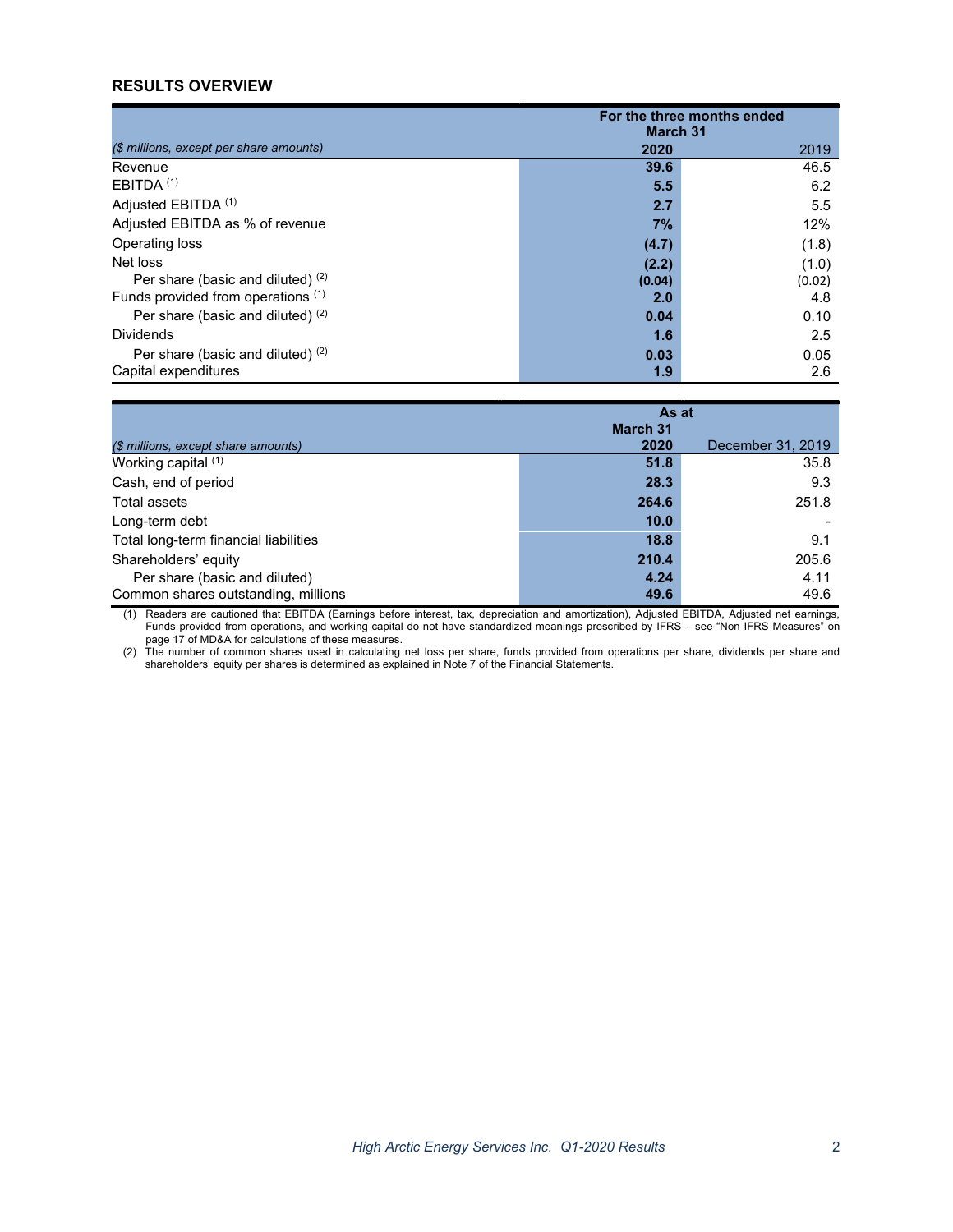# RESULTS OVERVIEW

|                                         | For the three months ended<br><b>March 31</b> |        |
|-----------------------------------------|-----------------------------------------------|--------|
| (\$ millions, except per share amounts) | 2020                                          | 2019   |
| Revenue                                 | 39.6                                          | 46.5   |
| EBITDA <sup>(1)</sup>                   | 5.5                                           | 6.2    |
| Adjusted EBITDA (1)                     | 2.7                                           | 5.5    |
| Adjusted EBITDA as % of revenue         | 7%                                            | 12%    |
| Operating loss                          | (4.7)                                         | (1.8)  |
| Net loss                                | (2.2)                                         | (1.0)  |
| Per share (basic and diluted) $(2)$     | (0.04)                                        | (0.02) |
| Funds provided from operations (1)      | 2.0                                           | 4.8    |
| Per share (basic and diluted) $(2)$     | 0.04                                          | 0.10   |
| <b>Dividends</b>                        | 1.6                                           | 2.5    |
| Per share (basic and diluted) $(2)$     | 0.03                                          | 0.05   |
| Capital expenditures                    | 1.9                                           | 2.6    |

|                                       | As at           |                   |
|---------------------------------------|-----------------|-------------------|
|                                       | <b>March 31</b> |                   |
| (\$ millions, except share amounts)   | 2020            | December 31, 2019 |
| Working capital (1)                   | 51.8            | 35.8              |
| Cash, end of period                   | 28.3            | 9.3               |
| Total assets                          | 264.6           | 251.8             |
| Long-term debt                        | 10.0            |                   |
| Total long-term financial liabilities | 18.8            | 9.1               |
| Shareholders' equity                  | 210.4           | 205.6             |
| Per share (basic and diluted)         | 4.24            | 4.11              |
| Common shares outstanding, millions   | 49.6            | 49.6              |

(1) Readers are cautioned that EBITDA (Earnings before interest, tax, depreciation and amortization), Adjusted EBITDA, Adjusted net earnings, Funds provided from operations, and working capital do not have standardized meanings prescribed by IFRS – see "Non IFRS Measures" on page 17 of MD&A for calculations of these measures.

(2) The number of common shares used in calculating net loss per share, funds provided from operations per share, dividends per share and shareholders' equity per shares is determined as explained in Note 7 of the Financial Statements.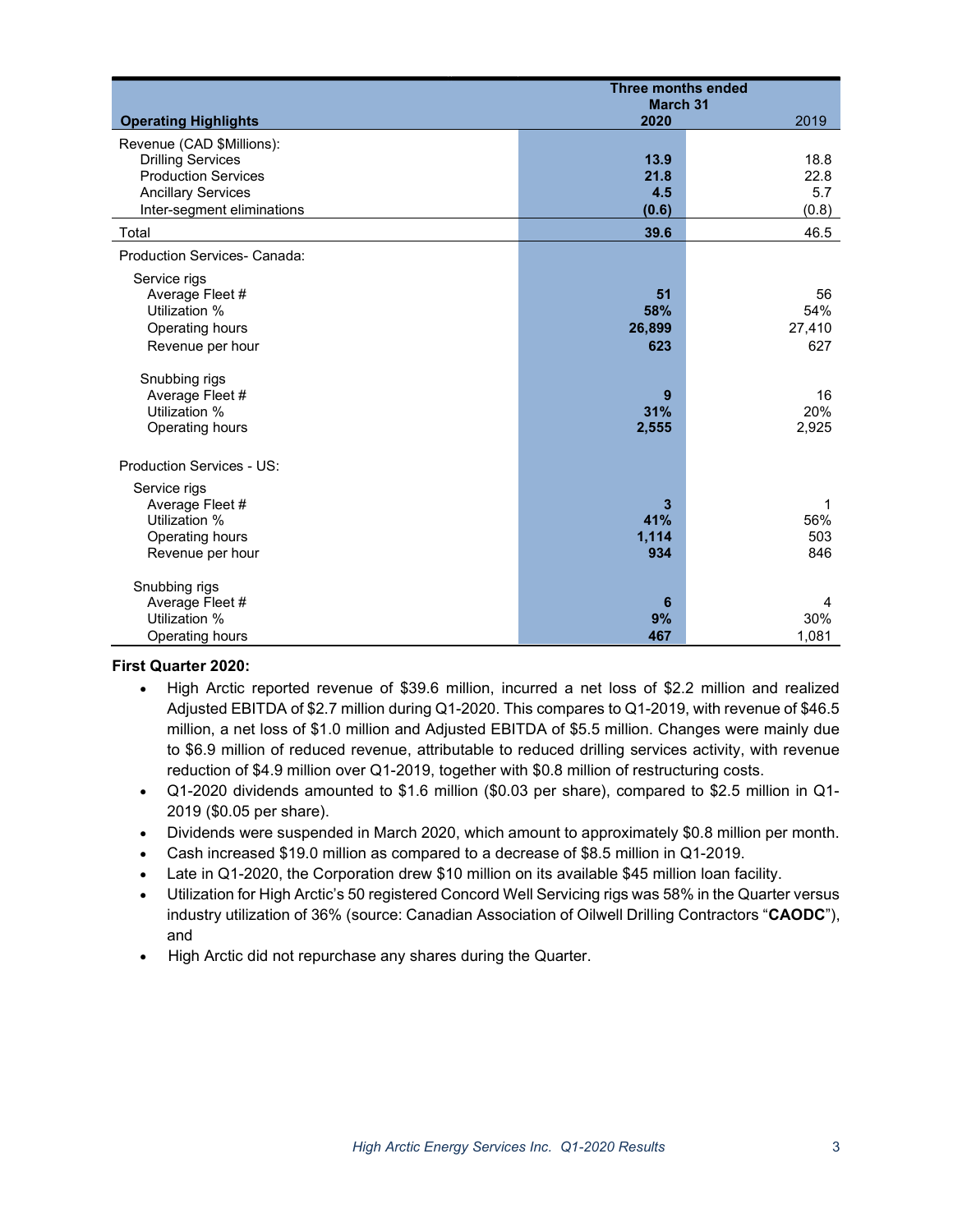|                                  | <b>Three months ended</b> |        |
|----------------------------------|---------------------------|--------|
|                                  | <b>March 31</b>           |        |
| <b>Operating Highlights</b>      | 2020                      | 2019   |
| Revenue (CAD \$Millions):        |                           |        |
| <b>Drilling Services</b>         | 13.9                      | 18.8   |
| <b>Production Services</b>       | 21.8                      | 22.8   |
| <b>Ancillary Services</b>        | 4.5                       | 5.7    |
| Inter-segment eliminations       | (0.6)                     | (0.8)  |
| Total                            | 39.6                      | 46.5   |
|                                  |                           |        |
| Production Services- Canada:     |                           |        |
| Service rigs                     |                           |        |
| Average Fleet #                  | 51                        | 56     |
| Utilization %                    | 58%                       | 54%    |
| Operating hours                  | 26,899                    | 27,410 |
| Revenue per hour                 | 623                       | 627    |
|                                  |                           |        |
| Snubbing rigs                    |                           |        |
| Average Fleet #                  | 9                         | 16     |
| Utilization %                    | 31%                       | 20%    |
| Operating hours                  | 2,555                     | 2,925  |
|                                  |                           |        |
| <b>Production Services - US:</b> |                           |        |
| Service rigs                     |                           |        |
| Average Fleet #                  | 3                         | 1      |
| Utilization %                    | 41%                       | 56%    |
| Operating hours                  | 1,114                     | 503    |
| Revenue per hour                 | 934                       | 846    |
|                                  |                           |        |
| Snubbing rigs                    |                           |        |
| Average Fleet #                  | 6                         | 4      |
| Utilization %                    | 9%                        | 30%    |
| Operating hours                  | 467                       | 1,081  |

#### First Quarter 2020:

- High Arctic reported revenue of \$39.6 million, incurred a net loss of \$2.2 million and realized Adjusted EBITDA of \$2.7 million during Q1-2020. This compares to Q1-2019, with revenue of \$46.5 million, a net loss of \$1.0 million and Adjusted EBITDA of \$5.5 million. Changes were mainly due to \$6.9 million of reduced revenue, attributable to reduced drilling services activity, with revenue reduction of \$4.9 million over Q1-2019, together with \$0.8 million of restructuring costs.
- Q1-2020 dividends amounted to \$1.6 million (\$0.03 per share), compared to \$2.5 million in Q1- 2019 (\$0.05 per share).
- Dividends were suspended in March 2020, which amount to approximately \$0.8 million per month.
- Cash increased \$19.0 million as compared to a decrease of \$8.5 million in Q1-2019.
- Late in Q1-2020, the Corporation drew \$10 million on its available \$45 million loan facility.
- Utilization for High Arctic's 50 registered Concord Well Servicing rigs was 58% in the Quarter versus industry utilization of 36% (source: Canadian Association of Oilwell Drilling Contractors "CAODC"), and
- High Arctic did not repurchase any shares during the Quarter.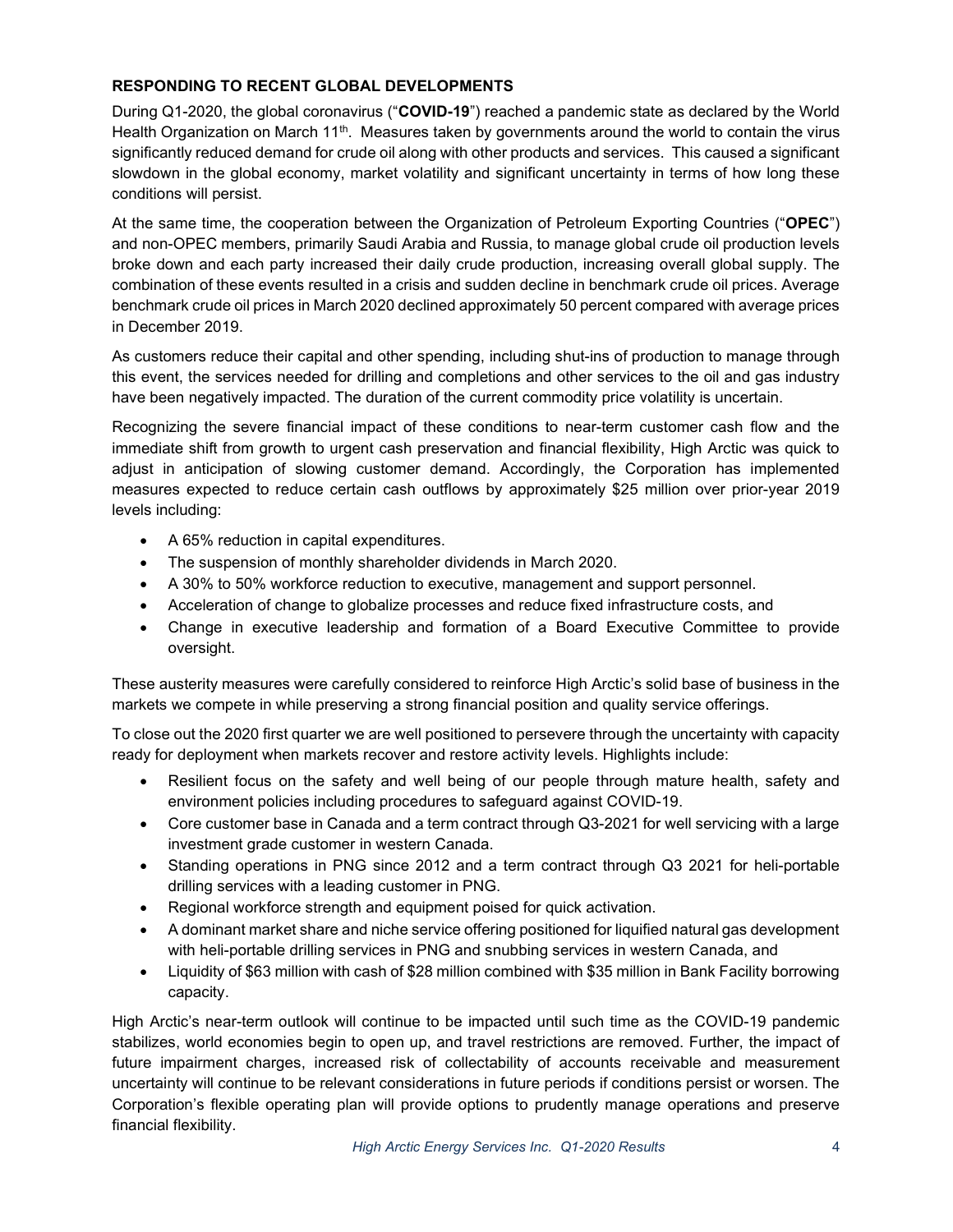# RESPONDING TO RECENT GLOBAL DEVELOPMENTS

During Q1-2020, the global coronavirus ("COVID-19") reached a pandemic state as declared by the World Health Organization on March 11<sup>th</sup>. Measures taken by governments around the world to contain the virus significantly reduced demand for crude oil along with other products and services. This caused a significant slowdown in the global economy, market volatility and significant uncertainty in terms of how long these conditions will persist.

At the same time, the cooperation between the Organization of Petroleum Exporting Countries ("OPEC") and non-OPEC members, primarily Saudi Arabia and Russia, to manage global crude oil production levels broke down and each party increased their daily crude production, increasing overall global supply. The combination of these events resulted in a crisis and sudden decline in benchmark crude oil prices. Average benchmark crude oil prices in March 2020 declined approximately 50 percent compared with average prices in December 2019.

As customers reduce their capital and other spending, including shut-ins of production to manage through this event, the services needed for drilling and completions and other services to the oil and gas industry have been negatively impacted. The duration of the current commodity price volatility is uncertain.

Recognizing the severe financial impact of these conditions to near-term customer cash flow and the immediate shift from growth to urgent cash preservation and financial flexibility, High Arctic was quick to adjust in anticipation of slowing customer demand. Accordingly, the Corporation has implemented measures expected to reduce certain cash outflows by approximately \$25 million over prior-year 2019 levels including:

- A 65% reduction in capital expenditures.
- The suspension of monthly shareholder dividends in March 2020.
- A 30% to 50% workforce reduction to executive, management and support personnel.
- Acceleration of change to globalize processes and reduce fixed infrastructure costs, and
- Change in executive leadership and formation of a Board Executive Committee to provide oversight.

These austerity measures were carefully considered to reinforce High Arctic's solid base of business in the markets we compete in while preserving a strong financial position and quality service offerings.

To close out the 2020 first quarter we are well positioned to persevere through the uncertainty with capacity ready for deployment when markets recover and restore activity levels. Highlights include:

- Resilient focus on the safety and well being of our people through mature health, safety and environment policies including procedures to safeguard against COVID-19.
- Core customer base in Canada and a term contract through Q3-2021 for well servicing with a large investment grade customer in western Canada.
- Standing operations in PNG since 2012 and a term contract through Q3 2021 for heli-portable drilling services with a leading customer in PNG.
- Regional workforce strength and equipment poised for quick activation.
- A dominant market share and niche service offering positioned for liquified natural gas development with heli-portable drilling services in PNG and snubbing services in western Canada, and
- Liquidity of \$63 million with cash of \$28 million combined with \$35 million in Bank Facility borrowing capacity.

High Arctic's near-term outlook will continue to be impacted until such time as the COVID-19 pandemic stabilizes, world economies begin to open up, and travel restrictions are removed. Further, the impact of future impairment charges, increased risk of collectability of accounts receivable and measurement uncertainty will continue to be relevant considerations in future periods if conditions persist or worsen. The Corporation's flexible operating plan will provide options to prudently manage operations and preserve financial flexibility.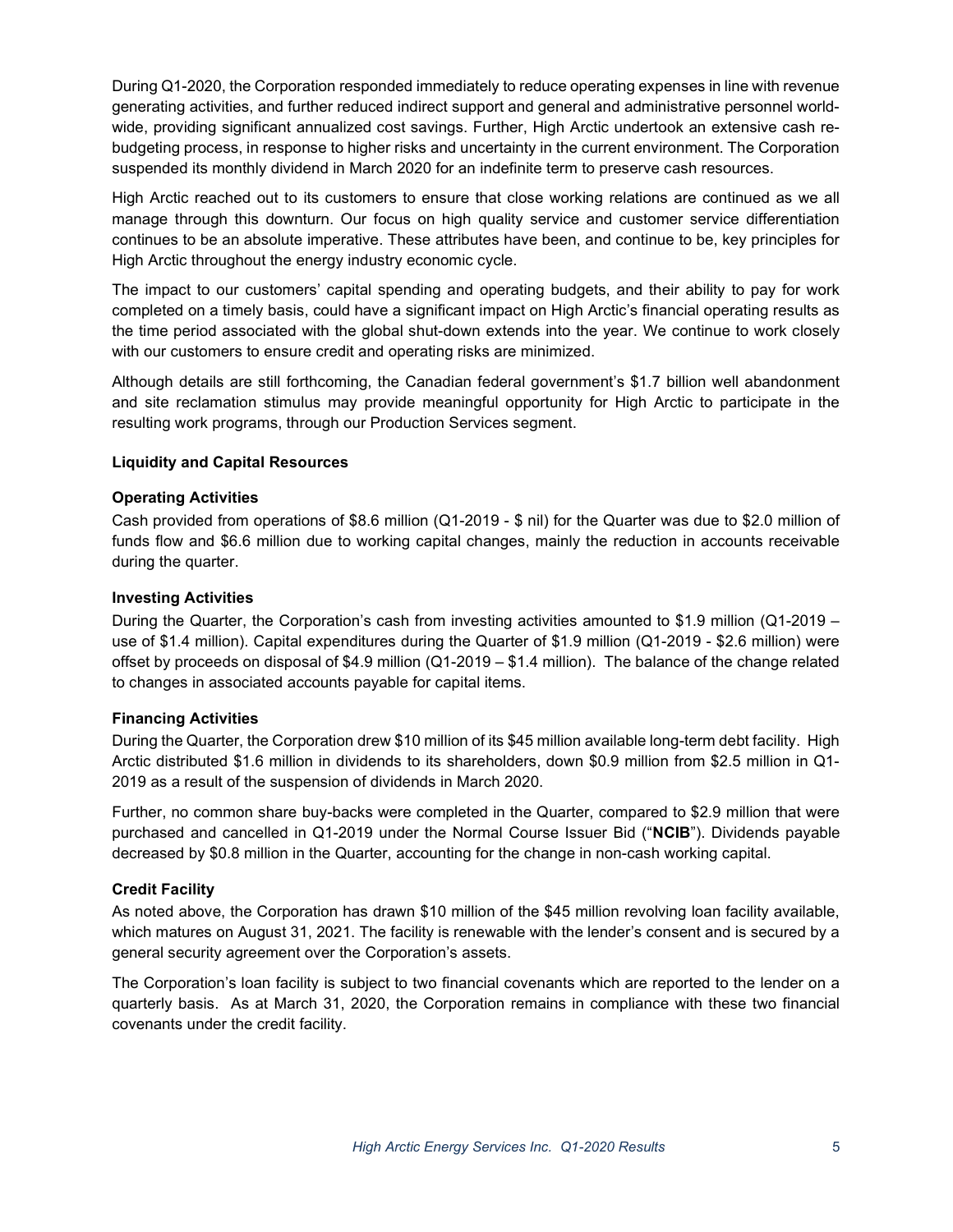During Q1-2020, the Corporation responded immediately to reduce operating expenses in line with revenue generating activities, and further reduced indirect support and general and administrative personnel worldwide, providing significant annualized cost savings. Further, High Arctic undertook an extensive cash rebudgeting process, in response to higher risks and uncertainty in the current environment. The Corporation suspended its monthly dividend in March 2020 for an indefinite term to preserve cash resources.

High Arctic reached out to its customers to ensure that close working relations are continued as we all manage through this downturn. Our focus on high quality service and customer service differentiation continues to be an absolute imperative. These attributes have been, and continue to be, key principles for High Arctic throughout the energy industry economic cycle.

The impact to our customers' capital spending and operating budgets, and their ability to pay for work completed on a timely basis, could have a significant impact on High Arctic's financial operating results as the time period associated with the global shut-down extends into the year. We continue to work closely with our customers to ensure credit and operating risks are minimized.

Although details are still forthcoming, the Canadian federal government's \$1.7 billion well abandonment and site reclamation stimulus may provide meaningful opportunity for High Arctic to participate in the resulting work programs, through our Production Services segment.

### Liquidity and Capital Resources

### Operating Activities

Cash provided from operations of \$8.6 million (Q1-2019 - \$ nil) for the Quarter was due to \$2.0 million of funds flow and \$6.6 million due to working capital changes, mainly the reduction in accounts receivable during the quarter.

### Investing Activities

During the Quarter, the Corporation's cash from investing activities amounted to \$1.9 million (Q1-2019 – use of \$1.4 million). Capital expenditures during the Quarter of \$1.9 million (Q1-2019 - \$2.6 million) were offset by proceeds on disposal of \$4.9 million (Q1-2019 – \$1.4 million). The balance of the change related to changes in associated accounts payable for capital items.

#### Financing Activities

During the Quarter, the Corporation drew \$10 million of its \$45 million available long-term debt facility. High Arctic distributed \$1.6 million in dividends to its shareholders, down \$0.9 million from \$2.5 million in Q1- 2019 as a result of the suspension of dividends in March 2020.

Further, no common share buy-backs were completed in the Quarter, compared to \$2.9 million that were purchased and cancelled in Q1-2019 under the Normal Course Issuer Bid ("NCIB"). Dividends payable decreased by \$0.8 million in the Quarter, accounting for the change in non-cash working capital.

# Credit Facility

As noted above, the Corporation has drawn \$10 million of the \$45 million revolving loan facility available, which matures on August 31, 2021. The facility is renewable with the lender's consent and is secured by a general security agreement over the Corporation's assets.

The Corporation's loan facility is subject to two financial covenants which are reported to the lender on a quarterly basis. As at March 31, 2020, the Corporation remains in compliance with these two financial covenants under the credit facility.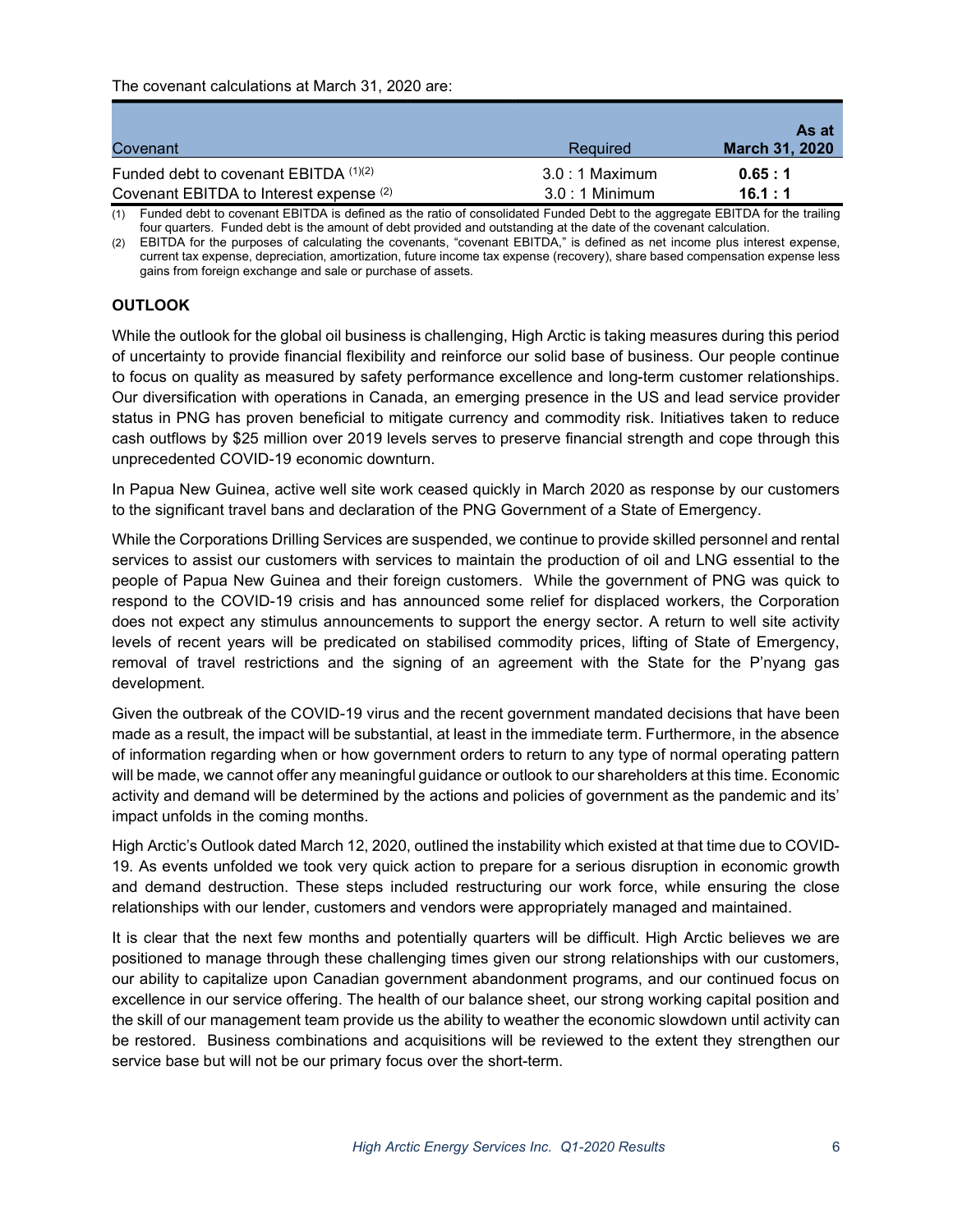| Covenant                                | Required        | As at<br>March 31, 2020 |
|-----------------------------------------|-----------------|-------------------------|
| Funded debt to covenant EBITDA (1)(2)   | $3.0:1$ Maximum | 0.65:1                  |
| Covenant EBITDA to Interest expense (2) | $3.0:1$ Minimum | 16.1:1                  |

(1) Funded debt to covenant EBITDA is defined as the ratio of consolidated Funded Debt to the aggregate EBITDA for the trailing four quarters. Funded debt is the amount of debt provided and outstanding at the date of the covenant calculation.

(2) EBITDA for the purposes of calculating the covenants, "covenant EBITDA," is defined as net income plus interest expense, current tax expense, depreciation, amortization, future income tax expense (recovery), share based compensation expense less gains from foreign exchange and sale or purchase of assets.

# **OUTLOOK**

While the outlook for the global oil business is challenging, High Arctic is taking measures during this period of uncertainty to provide financial flexibility and reinforce our solid base of business. Our people continue to focus on quality as measured by safety performance excellence and long-term customer relationships. Our diversification with operations in Canada, an emerging presence in the US and lead service provider status in PNG has proven beneficial to mitigate currency and commodity risk. Initiatives taken to reduce cash outflows by \$25 million over 2019 levels serves to preserve financial strength and cope through this unprecedented COVID-19 economic downturn.

In Papua New Guinea, active well site work ceased quickly in March 2020 as response by our customers to the significant travel bans and declaration of the PNG Government of a State of Emergency.

While the Corporations Drilling Services are suspended, we continue to provide skilled personnel and rental services to assist our customers with services to maintain the production of oil and LNG essential to the people of Papua New Guinea and their foreign customers. While the government of PNG was quick to respond to the COVID-19 crisis and has announced some relief for displaced workers, the Corporation does not expect any stimulus announcements to support the energy sector. A return to well site activity levels of recent years will be predicated on stabilised commodity prices, lifting of State of Emergency, removal of travel restrictions and the signing of an agreement with the State for the P'nyang gas development.

Given the outbreak of the COVID-19 virus and the recent government mandated decisions that have been made as a result, the impact will be substantial, at least in the immediate term. Furthermore, in the absence of information regarding when or how government orders to return to any type of normal operating pattern will be made, we cannot offer any meaningful guidance or outlook to our shareholders at this time. Economic activity and demand will be determined by the actions and policies of government as the pandemic and its' impact unfolds in the coming months.

High Arctic's Outlook dated March 12, 2020, outlined the instability which existed at that time due to COVID-19. As events unfolded we took very quick action to prepare for a serious disruption in economic growth and demand destruction. These steps included restructuring our work force, while ensuring the close relationships with our lender, customers and vendors were appropriately managed and maintained.

It is clear that the next few months and potentially quarters will be difficult. High Arctic believes we are positioned to manage through these challenging times given our strong relationships with our customers, our ability to capitalize upon Canadian government abandonment programs, and our continued focus on excellence in our service offering. The health of our balance sheet, our strong working capital position and the skill of our management team provide us the ability to weather the economic slowdown until activity can be restored. Business combinations and acquisitions will be reviewed to the extent they strengthen our service base but will not be our primary focus over the short-term.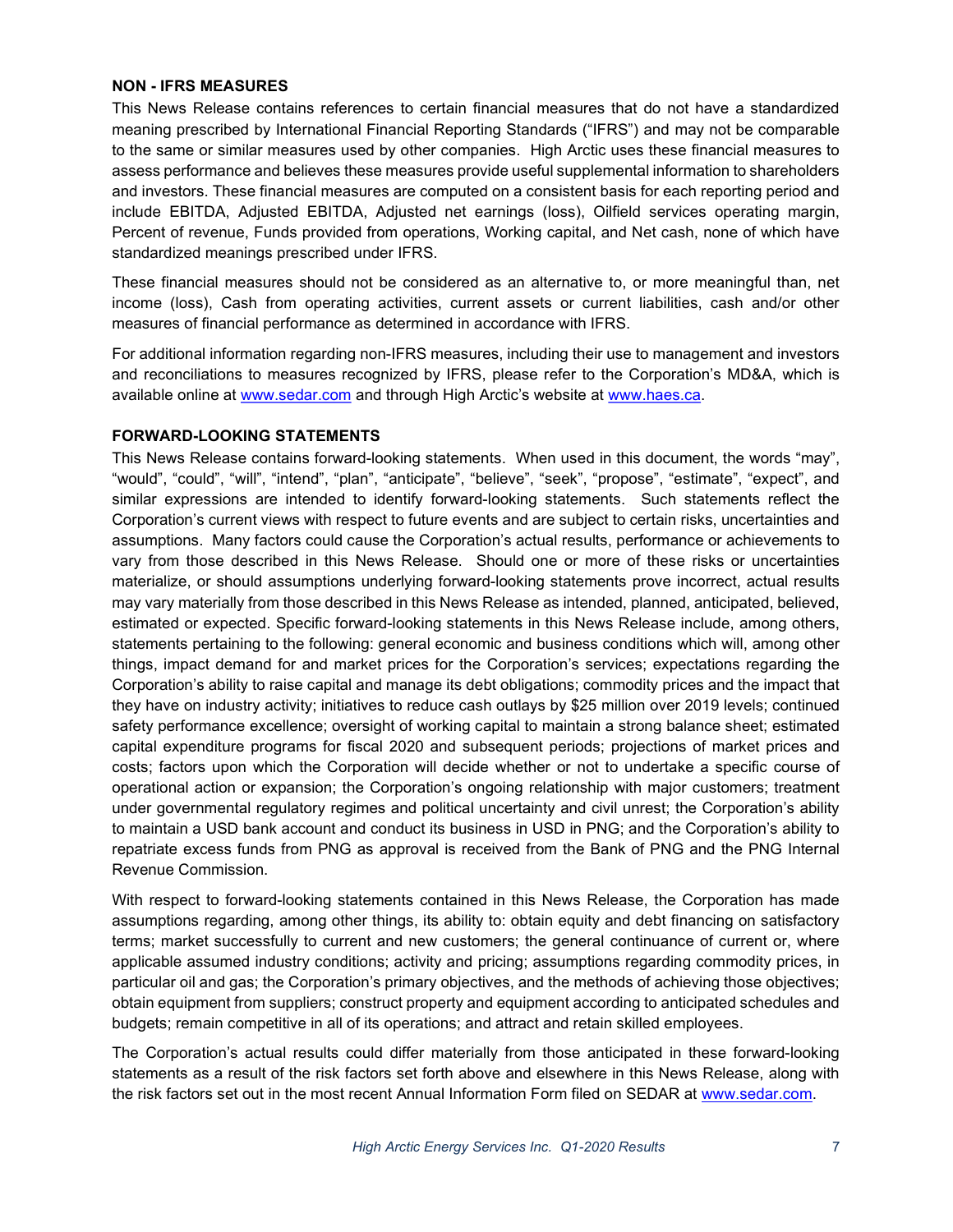#### NON - IFRS MEASURES

This News Release contains references to certain financial measures that do not have a standardized meaning prescribed by International Financial Reporting Standards ("IFRS") and may not be comparable to the same or similar measures used by other companies. High Arctic uses these financial measures to assess performance and believes these measures provide useful supplemental information to shareholders and investors. These financial measures are computed on a consistent basis for each reporting period and include EBITDA, Adjusted EBITDA, Adjusted net earnings (loss), Oilfield services operating margin, Percent of revenue, Funds provided from operations, Working capital, and Net cash, none of which have standardized meanings prescribed under IFRS.

These financial measures should not be considered as an alternative to, or more meaningful than, net income (loss), Cash from operating activities, current assets or current liabilities, cash and/or other measures of financial performance as determined in accordance with IFRS.

For additional information regarding non-IFRS measures, including their use to management and investors and reconciliations to measures recognized by IFRS, please refer to the Corporation's MD&A, which is available online at www.sedar.com and through High Arctic's website at www.haes.ca.

### FORWARD-LOOKING STATEMENTS

This News Release contains forward-looking statements. When used in this document, the words "may", "would", "could", "will", "intend", "plan", "anticipate", "believe", "seek", "propose", "estimate", "expect", and similar expressions are intended to identify forward-looking statements. Such statements reflect the Corporation's current views with respect to future events and are subject to certain risks, uncertainties and assumptions. Many factors could cause the Corporation's actual results, performance or achievements to vary from those described in this News Release. Should one or more of these risks or uncertainties materialize, or should assumptions underlying forward-looking statements prove incorrect, actual results may vary materially from those described in this News Release as intended, planned, anticipated, believed, estimated or expected. Specific forward-looking statements in this News Release include, among others, statements pertaining to the following: general economic and business conditions which will, among other things, impact demand for and market prices for the Corporation's services; expectations regarding the Corporation's ability to raise capital and manage its debt obligations; commodity prices and the impact that they have on industry activity; initiatives to reduce cash outlays by \$25 million over 2019 levels; continued safety performance excellence; oversight of working capital to maintain a strong balance sheet; estimated capital expenditure programs for fiscal 2020 and subsequent periods; projections of market prices and costs; factors upon which the Corporation will decide whether or not to undertake a specific course of operational action or expansion; the Corporation's ongoing relationship with major customers; treatment under governmental regulatory regimes and political uncertainty and civil unrest; the Corporation's ability to maintain a USD bank account and conduct its business in USD in PNG; and the Corporation's ability to repatriate excess funds from PNG as approval is received from the Bank of PNG and the PNG Internal Revenue Commission.

With respect to forward-looking statements contained in this News Release, the Corporation has made assumptions regarding, among other things, its ability to: obtain equity and debt financing on satisfactory terms; market successfully to current and new customers; the general continuance of current or, where applicable assumed industry conditions; activity and pricing; assumptions regarding commodity prices, in particular oil and gas; the Corporation's primary objectives, and the methods of achieving those objectives; obtain equipment from suppliers; construct property and equipment according to anticipated schedules and budgets; remain competitive in all of its operations; and attract and retain skilled employees.

The Corporation's actual results could differ materially from those anticipated in these forward-looking statements as a result of the risk factors set forth above and elsewhere in this News Release, along with the risk factors set out in the most recent Annual Information Form filed on SEDAR at www.sedar.com.